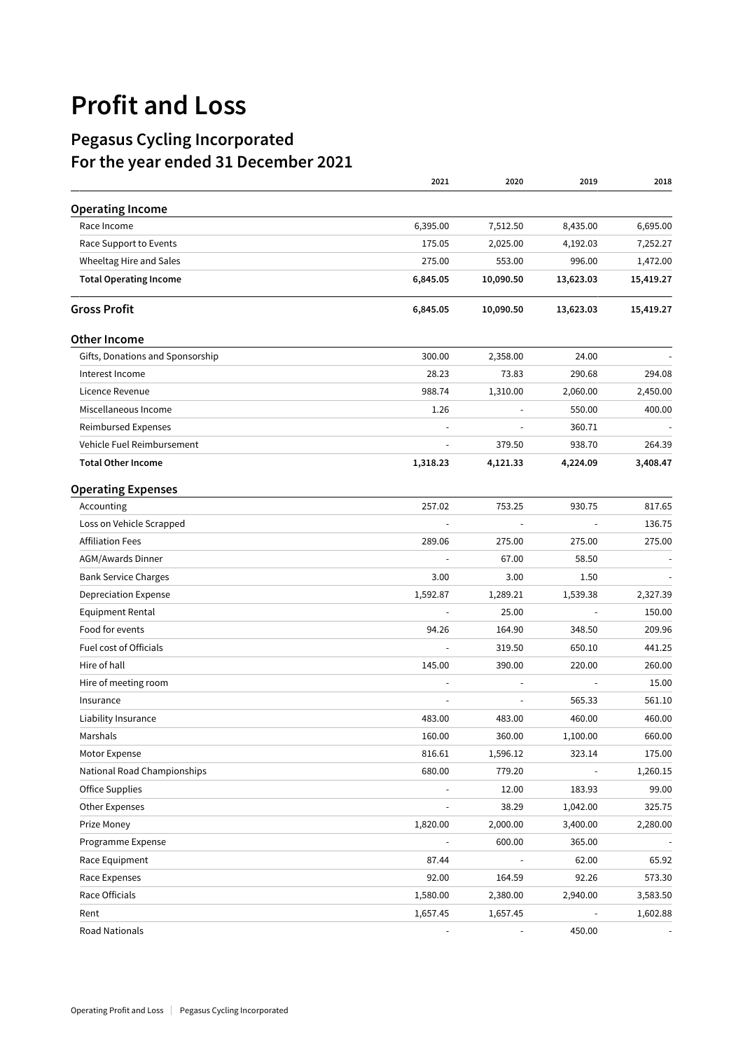## **Profit and Loss**

## **Pegasus Cycling Incorporated For the year ended 31 December 2021**

|                                  | 2021                     | 2020      | 2019                     | 2018      |
|----------------------------------|--------------------------|-----------|--------------------------|-----------|
| <b>Operating Income</b>          |                          |           |                          |           |
| Race Income                      | 6,395.00                 | 7,512.50  | 8,435.00                 | 6,695.00  |
| Race Support to Events           | 175.05                   | 2,025.00  | 4,192.03                 | 7,252.27  |
| Wheeltag Hire and Sales          | 275.00                   | 553.00    | 996.00                   | 1,472.00  |
| <b>Total Operating Income</b>    | 6,845.05                 | 10,090.50 | 13,623.03                | 15,419.27 |
| <b>Gross Profit</b>              | 6,845.05                 | 10,090.50 | 13,623.03                | 15,419.27 |
| <b>Other Income</b>              |                          |           |                          |           |
| Gifts, Donations and Sponsorship | 300.00                   | 2,358.00  | 24.00                    |           |
| Interest Income                  | 28.23                    | 73.83     | 290.68                   | 294.08    |
| Licence Revenue                  | 988.74                   | 1,310.00  | 2,060.00                 | 2,450.00  |
| Miscellaneous Income             | 1.26                     |           | 550.00                   | 400.00    |
| Reimbursed Expenses              |                          |           | 360.71                   |           |
| Vehicle Fuel Reimbursement       |                          | 379.50    | 938.70                   | 264.39    |
| <b>Total Other Income</b>        | 1,318.23                 | 4,121.33  | 4,224.09                 | 3,408.47  |
| <b>Operating Expenses</b>        |                          |           |                          |           |
| Accounting                       | 257.02                   | 753.25    | 930.75                   | 817.65    |
| Loss on Vehicle Scrapped         |                          |           | $\overline{a}$           | 136.75    |
| <b>Affiliation Fees</b>          | 289.06                   | 275.00    | 275.00                   | 275.00    |
| AGM/Awards Dinner                |                          | 67.00     | 58.50                    |           |
| <b>Bank Service Charges</b>      | 3.00                     | 3.00      | 1.50                     |           |
| <b>Depreciation Expense</b>      | 1,592.87                 | 1,289.21  | 1,539.38                 | 2,327.39  |
| Equipment Rental                 | $\overline{\phantom{a}}$ | 25.00     | $\overline{\phantom{a}}$ | 150.00    |
| Food for events                  | 94.26                    | 164.90    | 348.50                   | 209.96    |
| Fuel cost of Officials           |                          | 319.50    | 650.10                   | 441.25    |
| Hire of hall                     | 145.00                   | 390.00    | 220.00                   | 260.00    |
| Hire of meeting room             |                          |           |                          | 15.00     |
| Insurance                        |                          |           | 565.33                   | 561.10    |
| Liability Insurance              | 483.00                   | 483.00    | 460.00                   | 460.00    |
| Marshals                         | 160.00                   | 360.00    | 1,100.00                 | 660.00    |
| Motor Expense                    | 816.61                   | 1,596.12  | 323.14                   | 175.00    |
| National Road Championships      | 680.00                   | 779.20    | ÷,                       | 1,260.15  |
| Office Supplies                  |                          | 12.00     | 183.93                   | 99.00     |
| Other Expenses                   |                          | 38.29     | 1,042.00                 | 325.75    |
| Prize Money                      | 1,820.00                 | 2,000.00  | 3,400.00                 | 2,280.00  |
| Programme Expense                |                          | 600.00    | 365.00                   |           |
| Race Equipment                   | 87.44                    |           | 62.00                    | 65.92     |
| Race Expenses                    | 92.00                    | 164.59    | 92.26                    | 573.30    |
| Race Officials                   | 1,580.00                 | 2,380.00  | 2,940.00                 | 3,583.50  |
| Rent                             | 1,657.45                 | 1,657.45  |                          | 1,602.88  |
| Road Nationals                   |                          |           | 450.00                   |           |